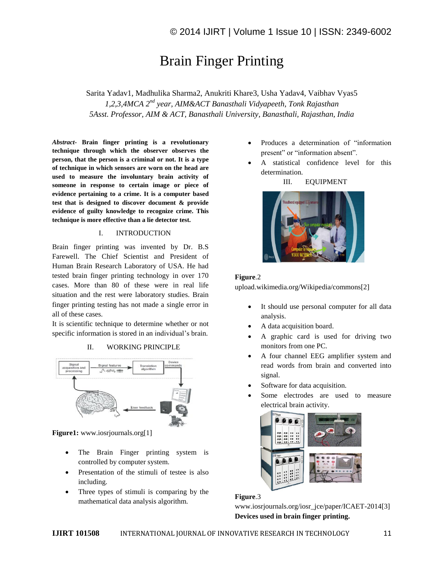# Brain Finger Printing

Sarita Yadav1, Madhulika Sharma2, Anukriti Khare3, Usha Yadav4, Vaibhav Vyas5 1,2,3,4MCA 2<sup>nd</sup> year, AIM&ACT Banasthali Vidyapeeth, Tonk Rajasthan *5Asst. Professor, AIM & ACT, Banasthali University, Banasthali, Rajasthan, India*

*Abstract-* **Brain finger printing is a revolutionary technique through which the observer observes the person, that the person is a criminal or not. It is a type of technique in which sensors are worn on the head are used to measure the involuntary brain activity of someone in response to certain image or piece of evidence pertaining to a crime. It is a computer based test that is designed to discover document & provide evidence of guilty knowledge to recognize crime. This technique is more effective than a lie detector test.**

#### I. INTRODUCTION

Brain finger printing was invented by Dr. B.S Farewell. The Chief Scientist and President of Human Brain Research Laboratory of USA. He had tested brain finger printing technology in over 170 cases. More than 80 of these were in real life situation and the rest were laboratory studies. Brain finger printing testing has not made a single error in all of these cases.

It is scientific technique to determine whether or not specific information is stored in an individual's brain.

II. WORKING PRINCIPLE



**Figure1:** www.iosrjournals.org[1]

- The Brain Finger printing system is controlled by computer system.
- Presentation of the stimuli of testee is also including.
- Three types of stimuli is comparing by the mathematical data analysis algorithm.
- Produces a determination of "information present" or "information absent".
- A statistical confidence level for this determination.

#### III. EQUIPMENT



#### **Figure**.2

upload.wikimedia.org/Wikipedia/commons[2]

- It should use personal computer for all data analysis.
- A data acquisition board.
- A graphic card is used for driving two monitors from one PC.
- A four channel EEG amplifier system and read words from brain and converted into signal.
- Software for data acquisition.
- Some electrodes are used to measure electrical brain activity.



**Figure**.3

www.iosrjournals.org/iosr\_jce/paper/ICAET-2014[3] **Devices used in brain finger printing.**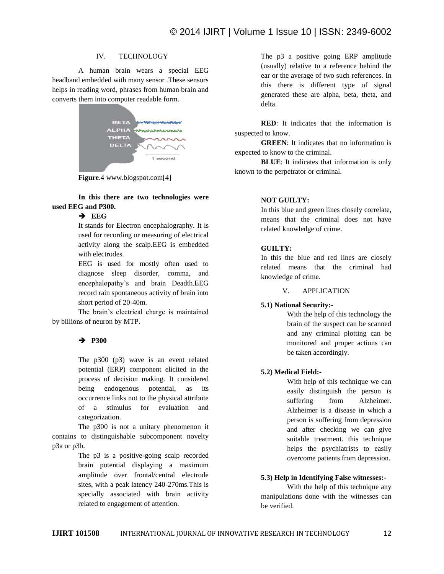## IV. TECHNOLOGY

A human brain wears a special EEG headband embedded with many sensor .These sensors helps in reading word, phrases from human brain and converts them into computer readable form.



**Figure**.4 www.blogspot.com[4]

**In this there are two technologies were used EEG and P300.**

## $\rightarrow$  EEG

It stands for Electron encephalography. It is used for recording or measuring of electrical activity along the scalp.EEG is embedded with electrodes.

EEG is used for mostly often used to diagnose sleep disorder, comma, and encephalopathy's and brain Deadth.EEG record rain spontaneous activity of brain into short period of 20-40m.

The brain's electrical charge is maintained by billions of neuron by MTP.

# $\rightarrow$  P300

The p300 (p3) wave is an event related potential (ERP) component elicited in the process of decision making. It considered being endogenous potential, as its occurrence links not to the physical attribute of a stimulus for evaluation and categorization.

The p300 is not a unitary phenomenon it contains to distinguishable subcomponent novelty p3a or p3b.

> The p3 is a positive-going scalp recorded brain potential displaying a maximum amplitude over frontal/central electrode sites, with a peak latency 240-270ms.This is specially associated with brain activity related to engagement of attention.

The p3 a positive going ERP amplitude (usually) relative to a reference behind the ear or the average of two such references. In this there is different type of signal generated these are alpha, beta, theta, and delta.

**RED**: It indicates that the information is suspected to know.

**GREEN**: It indicates that no information is expected to know to the criminal.

**BLUE**: It indicates that information is only known to the perpetrator or criminal.

## **NOT GUILTY:**

In this blue and green lines closely correlate, means that the criminal does not have related knowledge of crime.

## **GUILTY:**

In this the blue and red lines are closely related means that the criminal had knowledge of crime.

V. APPLICATION

# **5.1) National Security:-**

With the help of this technology the brain of the suspect can be scanned and any criminal plotting can be monitored and proper actions can be taken accordingly.

### **5.2) Medical Field:-**

With help of this technique we can easily distinguish the person is suffering from Alzheimer. Alzheimer is a disease in which a person is suffering from depression and after checking we can give suitable treatment. this technique helps the psychiatrists to easily overcome patients from depression.

### **5.3) Help in Identifying False witnesses:-**

With the help of this technique any manipulations done with the witnesses can be verified.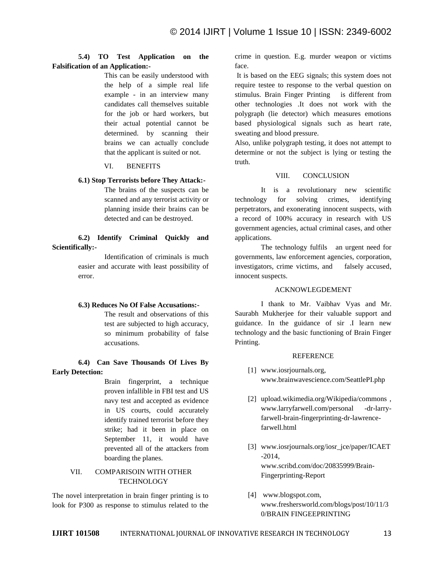# **5.4) TO Test Application on the Falsification of an Application:-**

This can be easily understood with the help of a simple real life example - in an interview many candidates call themselves suitable for the job or hard workers, but their actual potential cannot be determined. by scanning their brains we can actually conclude that the applicant is suited or not.

#### VI. BENEFITS

#### **6.1) Stop Terrorists before They Attack:-**

The brains of the suspects can be scanned and any terrorist activity or planning inside their brains can be detected and can be destroyed.

**6.2) Identify Criminal Quickly and Scientifically:-**

> Identification of criminals is much easier and accurate with least possibility of error.

## **6.3) Reduces No Of False Accusations:-**

The result and observations of this test are subjected to high accuracy, so minimum probability of false accusations.

**6.4) Can Save Thousands Of Lives By Early Detection:**

> Brain fingerprint, a technique proven infallible in FBI test and US navy test and accepted as evidence in US courts, could accurately identify trained terrorist before they strike; had it been in place on September 11, it would have prevented all of the attackers from boarding the planes.

# VII. COMPARISOIN WITH OTHER **TECHNOLOGY**

The novel interpretation in brain finger printing is to look for P300 as response to stimulus related to the

crime in question. E.g. murder weapon or victims face.

It is based on the EEG signals; this system does not require testee to response to the verbal question on stimulus. Brain Finger Printing is different from other technologies .It does not work with the polygraph (lie detector) which measures emotions based physiological signals such as heart rate, sweating and blood pressure.

Also, unlike polygraph testing, it does not attempt to determine or not the subject is lying or testing the truth.

#### VIII. CONCLUSION

It is a revolutionary new scientific technology for solving crimes, identifying perpetrators, and exonerating innocent suspects, with a record of 100% accuracy in research with US government agencies, actual criminal cases, and other applications.

The technology fulfils an urgent need for governments, law enforcement agencies, corporation, investigators, crime victims, and falsely accused, innocent suspects.

#### ACKNOWLEGDEMENT

I thank to Mr. Vaibhav Vyas and Mr. Saurabh Mukherjee for their valuable support and guidance. In the guidance of sir .I learn new technology and the basic functioning of Brain Finger Printing.

#### REFERENCE

- [1] www.iosrjournals.org, www.brainwavescience.com/SeattlePI.php
- [2] upload.wikimedia.org/Wikipedia/commons , www.larryfarwell.com/personal -dr-larryfarwell-brain-fingerprinting-dr-lawrencefarwell.html
- [3] www.iosrjournals.org/iosr\_jce/paper/ICAET -2014, www.scribd.com/doc/20835999/Brain-Fingerprinting-Report
- [4] www.blogspot.com, www.freshersworld.com/blogs/post/10/11/3 0/BRAIN FINGEEPRINTING